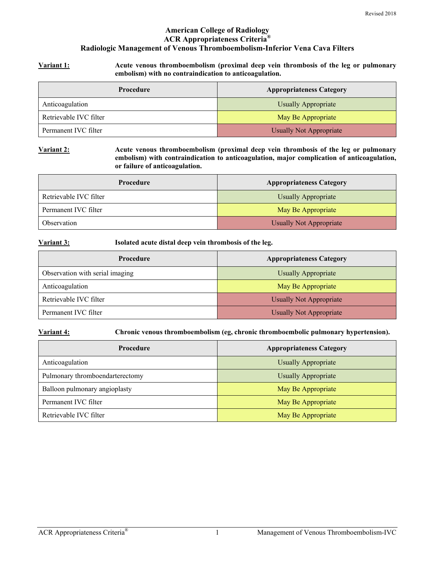## **American College of Radiology ACR Appropriateness Criteria® Radiologic Management of Venous Thromboembolism-Inferior Vena Cava Filters**

**Variant 1: Acute venous thromboembolism (proximal deep vein thrombosis of the leg or pulmonary embolism) with no contraindication to anticoagulation.** 

| Procedure              | <b>Appropriateness Category</b> |
|------------------------|---------------------------------|
| Anticoagulation        | Usually Appropriate             |
| Retrievable IVC filter | May Be Appropriate              |
| Permanent IVC filter   | <b>Usually Not Appropriate</b>  |

**Variant 2: Acute venous thromboembolism (proximal deep vein thrombosis of the leg or pulmonary embolism) with contraindication to anticoagulation, major complication of anticoagulation, or failure of anticoagulation.** 

| Procedure              | <b>Appropriateness Category</b> |
|------------------------|---------------------------------|
| Retrievable IVC filter | <b>Usually Appropriate</b>      |
| Permanent IVC filter   | May Be Appropriate              |
| Observation            | <b>Usually Not Appropriate</b>  |

**Variant 3: Isolated acute distal deep vein thrombosis of the leg.** 

| <b>Procedure</b>                | <b>Appropriateness Category</b> |
|---------------------------------|---------------------------------|
| Observation with serial imaging | <b>Usually Appropriate</b>      |
| Anticoagulation                 | May Be Appropriate              |
| Retrievable IVC filter          | Usually Not Appropriate         |
| Permanent IVC filter            | <b>Usually Not Appropriate</b>  |

**Variant 4: Chronic venous thromboembolism (eg, chronic thromboembolic pulmonary hypertension).** 

| <b>Procedure</b>                | <b>Appropriateness Category</b> |
|---------------------------------|---------------------------------|
| Anticoagulation                 | <b>Usually Appropriate</b>      |
| Pulmonary thromboendarterectomy | <b>Usually Appropriate</b>      |
| Balloon pulmonary angioplasty   | May Be Appropriate              |
| Permanent IVC filter            | May Be Appropriate              |
| Retrievable IVC filter          | May Be Appropriate              |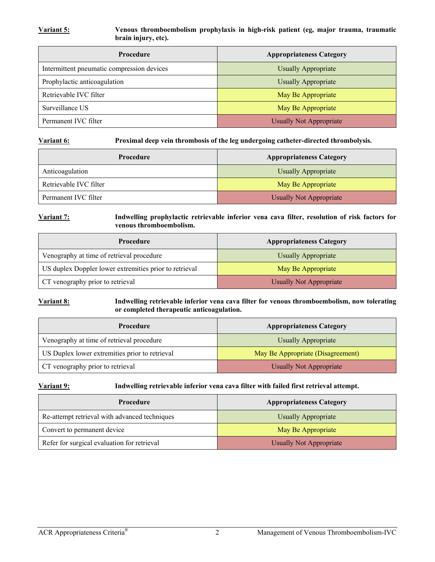#### **Variant 5: Venous thromboembolism prophylaxis in high-risk patient (eg, major trauma, traumatic brain injury, etc).**

| <b>Procedure</b>                           | <b>Appropriateness Category</b> |
|--------------------------------------------|---------------------------------|
| Intermittent pneumatic compression devices | <b>Usually Appropriate</b>      |
| Prophylactic anticoagulation               | <b>Usually Appropriate</b>      |
| Retrievable IVC filter                     | May Be Appropriate              |
| Surveillance US                            | May Be Appropriate              |
| Permanent IVC filter                       | <b>Usually Not Appropriate</b>  |

**Variant 6: Proximal deep vein thrombosis of the leg undergoing catheter-directed thrombolysis.** 

| Procedure              | <b>Appropriateness Category</b> |
|------------------------|---------------------------------|
| Anticoagulation        | <b>Usually Appropriate</b>      |
| Retrievable IVC filter | May Be Appropriate              |
| Permanent IVC filter   | <b>Usually Not Appropriate</b>  |

#### **Variant 7: Indwelling prophylactic retrievable inferior vena cava filter, resolution of risk factors for venous thromboembolism.**

| Procedure                                              | <b>Appropriateness Category</b> |
|--------------------------------------------------------|---------------------------------|
| Venography at time of retrieval procedure              | Usually Appropriate             |
| US duplex Doppler lower extremities prior to retrieval | May Be Appropriate              |
| CT venography prior to retrieval                       | <b>Usually Not Appropriate</b>  |

#### **Variant 8: Indwelling retrievable inferior vena cava filter for venous thromboembolism, now tolerating or completed therapeutic anticoagulation.**

| Procedure                                      | <b>Appropriateness Category</b>   |
|------------------------------------------------|-----------------------------------|
| Venography at time of retrieval procedure      | <b>Usually Appropriate</b>        |
| US Duplex lower extremities prior to retrieval | May Be Appropriate (Disagreement) |
| CT venography prior to retrieval               | <b>Usually Not Appropriate</b>    |

#### **Variant 9: Indwelling retrievable inferior vena cava filter with failed first retrieval attempt.**

| <b>Procedure</b>                              | <b>Appropriateness Category</b> |
|-----------------------------------------------|---------------------------------|
| Re-attempt retrieval with advanced techniques | <b>Usually Appropriate</b>      |
| Convert to permanent device                   | May Be Appropriate              |
| Refer for surgical evaluation for retrieval   | <b>Usually Not Appropriate</b>  |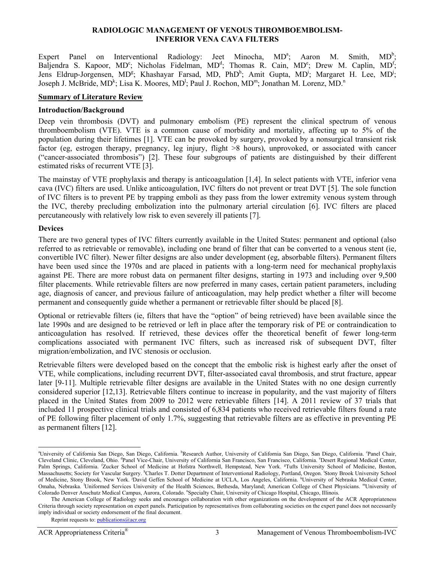#### **RADIOLOGIC MANAGEMENT OF VENOUS THROMBOEMBOLISM-INFERIOR VENA CAVA FILTERS**

Expert Panel on Interventional Radiology: Jeet Minocha,  $MD^a$ ; Aaron M. Smith,  $MD^b$  $MD^b$ Baljendra S. Kapoor, MD<sup>c</sup>; Nicholas Fidelman, MD<sup>d</sup>; Thomas R. Cain, MD<sup>e</sup>; Drew M. Caplin, MD<sup>f</sup>; Jens Eldrup-Jorgensen, MD<sup>g</sup>; Khashayar Farsad, MD, PhD<sup>h</sup>; Amit Gupta, MD<sup>i</sup>; Margaret H. Lee, MD<sup>j</sup>; Joseph J. McBride, MD<sup>k</sup>; Lisa K. Moores, MD<sup>1</sup>; Paul J. Rochon, MD<sup>m</sup>; Jonathan M. Lorenz, MD.<sup>n</sup>

#### **Summary of Literature Review**

#### **Introduction/Background**

Deep vein thrombosis (DVT) and pulmonary embolism (PE) represent the clinical spectrum of venous thromboembolism (VTE). VTE is a common cause of morbidity and mortality, affecting up to 5% of the population during their lifetimes [1]. VTE can be provoked by surgery, provoked by a nonsurgical transient risk factor (eg, estrogen therapy, pregnancy, leg injury, flight >8 hours), unprovoked, or associated with cancer ("cancer-associated thrombosis") [2]. These four subgroups of patients are distinguished by their different estimated risks of recurrent VTE [3].

The mainstay of VTE prophylaxis and therapy is anticoagulation [1,4]. In select patients with VTE, inferior vena cava (IVC) filters are used. Unlike anticoagulation, IVC filters do not prevent or treat DVT [5]. The sole function of IVC filters is to prevent PE by trapping emboli as they pass from the lower extremity venous system through the IVC, thereby precluding embolization into the pulmonary arterial circulation [6]. IVC filters are placed percutaneously with relatively low risk to even severely ill patients [7].

## **Devices**

 $\overline{a}$ 

There are two general types of IVC filters currently available in the United States: permanent and optional (also referred to as retrievable or removable), including one brand of filter that can be converted to a venous stent (ie, convertible IVC filter). Newer filter designs are also under development (eg, absorbable filters). Permanent filters have been used since the 1970s and are placed in patients with a long-term need for mechanical prophylaxis against PE. There are more robust data on permanent filter designs, starting in 1973 and including over 9,500 filter placements. While retrievable filters are now preferred in many cases, certain patient parameters, including age, diagnosis of cancer, and previous failure of anticoagulation, may help predict whether a filter will become permanent and consequently guide whether a permanent or retrievable filter should be placed [8].

Optional or retrievable filters (ie, filters that have the "option" of being retrieved) have been available since the late 1990s and are designed to be retrieved or left in place after the temporary risk of PE or contraindication to anticoagulation has resolved. If retrieved, these devices offer the theoretical benefit of fewer long-term complications associated with permanent IVC filters, such as increased risk of subsequent DVT, filter migration/embolization, and IVC stenosis or occlusion.

Retrievable filters were developed based on the concept that the embolic risk is highest early after the onset of VTE, while complications, including recurrent DVT, filter-associated caval thrombosis, and strut fracture, appear later [9-11]. Multiple retrievable filter designs are available in the United States with no one design currently considered superior [12,13]. Retrievable filters continue to increase in popularity, and the vast majority of filters placed in the United States from 2009 to 2012 were retrievable filters [14]. A 2011 review of 37 trials that included 11 prospective clinical trials and consisted of 6,834 patients who received retrievable filters found a rate of PE following filter placement of only 1.7%, suggesting that retrievable filters are as effective in preventing PE as permanent filters [12].

<sup>&</sup>lt;sup>a</sup>University of California San Diego, San Diego, California. <sup>b</sup>Research Author, University of California San Diego, San Diego, California. <sup>c</sup>Panel Chair, Cleveland Clinic, Cleveland, Ohio. <sup>d</sup>Panel Vice-Chair, University of California San Francisco, San Francisco, California. <sup>e</sup>Desert Regional Medical Center, Palm Springs, California. <sup>f</sup>Zucker School of Medicine at Hofstra Northwell, Hempstead, New York. <sup>g</sup>Tufts University School of Medicine, Boston, Massachusetts; Society for Vascular Surgery. <sup>h</sup>Charles T. Dotter Department of Interventional Radiology, Portland, Oregon. Stony Brook University School of Medicine, Stony Brook, New York. <sup>J</sup>David Geffen School of Medicine at UCLA, Los Angeles, California. <sup>k</sup>University of Nebraska Medical Center, Omaha, Nebraska. <sup>1</sup>Uniformed Services University of the Health Sciences, Bethesda, Maryland; American College of Chest Physicians. <sup>m</sup>University of Colorado Denver Anschutz Medical Campus, Aurora, Colorado. "Specialty Chair, University of Chicago Hospital, Chicago, Illinois.

The American College of Radiology seeks and encourages collaboration with other organizations on the development of the ACR Appropriateness Criteria through society representation on expert panels. Participation by representatives from collaborating societies on the expert panel does not necessarily imply individual or society endorsement of the final document.

Reprint requests to: publications@acr.org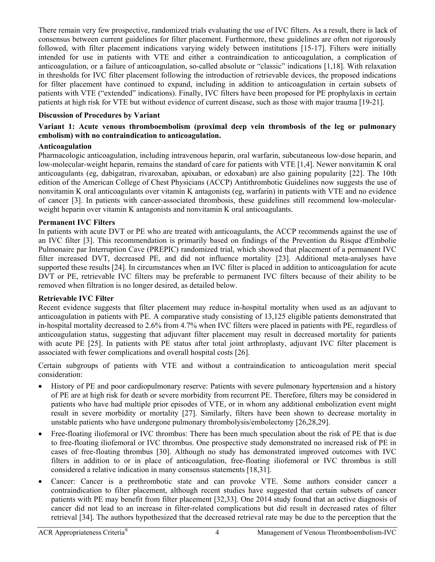There remain very few prospective, randomized trials evaluating the use of IVC filters. As a result, there is lack of consensus between current guidelines for filter placement. Furthermore, these guidelines are often not rigorously followed, with filter placement indications varying widely between institutions [15-17]. Filters were initially intended for use in patients with VTE and either a contraindication to anticoagulation, a complication of anticoagulation, or a failure of anticoagulation, so-called absolute or "classic" indications [1,18]. With relaxation in thresholds for IVC filter placement following the introduction of retrievable devices, the proposed indications for filter placement have continued to expand, including in addition to anticoagulation in certain subsets of patients with VTE ("extended" indications). Finally, IVC filters have been proposed for PE prophylaxis in certain patients at high risk for VTE but without evidence of current disease, such as those with major trauma [19-21].

## **Discussion of Procedures by Variant**

## **Variant 1: Acute venous thromboembolism (proximal deep vein thrombosis of the leg or pulmonary embolism) with no contraindication to anticoagulation.**

## **Anticoagulation**

Pharmacologic anticoagulation, including intravenous heparin, oral warfarin, subcutaneous low-dose heparin, and low-molecular-weight heparin, remains the standard of care for patients with VTE [1,4]. Newer nonvitamin K oral anticoagulants (eg, dabigatran, rivaroxaban, apixaban, or edoxaban) are also gaining popularity [22]. The 10th edition of the American College of Chest Physicians (ACCP) Antithrombotic Guidelines now suggests the use of nonvitamin K oral anticoagulants over vitamin K antagonists (eg, warfarin) in patients with VTE and no evidence of cancer [3]. In patients with cancer-associated thrombosis, these guidelines still recommend low-molecularweight heparin over vitamin K antagonists and nonvitamin K oral anticoagulants.

## **Permanent IVC Filters**

In patients with acute DVT or PE who are treated with anticoagulants, the ACCP recommends against the use of an IVC filter [3]. This recommendation is primarily based on findings of the Prevention du Risque d'Embolie Pulmonaire par Interruption Cave (PREPIC) randomized trial, which showed that placement of a permanent IVC filter increased DVT, decreased PE, and did not influence mortality [23]. Additional meta-analyses have supported these results [24]. In circumstances when an IVC filter is placed in addition to anticoagulation for acute DVT or PE, retrievable IVC filters may be preferable to permanent IVC filters because of their ability to be removed when filtration is no longer desired, as detailed below.

#### **Retrievable IVC Filter**

Recent evidence suggests that filter placement may reduce in-hospital mortality when used as an adjuvant to anticoagulation in patients with PE. A comparative study consisting of 13,125 eligible patients demonstrated that in-hospital mortality decreased to 2.6% from 4.7% when IVC filters were placed in patients with PE, regardless of anticoagulation status, suggesting that adjuvant filter placement may result in decreased mortality for patients with acute PE [25]. In patients with PE status after total joint arthroplasty, adjuvant IVC filter placement is associated with fewer complications and overall hospital costs [26].

Certain subgroups of patients with VTE and without a contraindication to anticoagulation merit special consideration:

- History of PE and poor cardiopulmonary reserve: Patients with severe pulmonary hypertension and a history of PE are at high risk for death or severe morbidity from recurrent PE. Therefore, filters may be considered in patients who have had multiple prior episodes of VTE, or in whom any additional embolization event might result in severe morbidity or mortality [27]. Similarly, filters have been shown to decrease mortality in unstable patients who have undergone pulmonary thrombolysis/embolectomy [26,28,29].
- Free-floating iliofemoral or IVC thrombus: There has been much speculation about the risk of PE that is due to free-floating iliofemoral or IVC thrombus. One prospective study demonstrated no increased risk of PE in cases of free-floating thrombus [30]. Although no study has demonstrated improved outcomes with IVC filters in addition to or in place of anticoagulation, free-floating iliofemoral or IVC thrombus is still considered a relative indication in many consensus statements [18,31].
- Cancer: Cancer is a prethrombotic state and can provoke VTE. Some authors consider cancer a contraindication to filter placement, although recent studies have suggested that certain subsets of cancer patients with PE may benefit from filter placement [32,33]. One 2014 study found that an active diagnosis of cancer did not lead to an increase in filter-related complications but did result in decreased rates of filter retrieval [34]. The authors hypothesized that the decreased retrieval rate may be due to the perception that the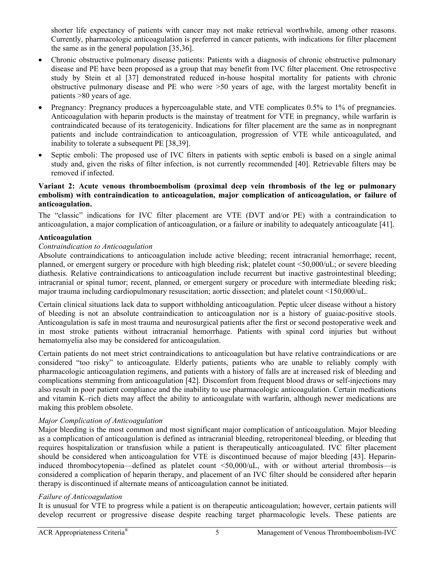shorter life expectancy of patients with cancer may not make retrieval worthwhile, among other reasons. Currently, pharmacologic anticoagulation is preferred in cancer patients, with indications for filter placement the same as in the general population [35,36].

- Chronic obstructive pulmonary disease patients: Patients with a diagnosis of chronic obstructive pulmonary disease and PE have been proposed as a group that may benefit from IVC filter placement. One retrospective study by Stein et al [37] demonstrated reduced in-house hospital mortality for patients with chronic obstructive pulmonary disease and PE who were >50 years of age, with the largest mortality benefit in patients >80 years of age.
- Pregnancy: Pregnancy produces a hypercoagulable state, and VTE complicates 0.5% to 1% of pregnancies. Anticoagulation with heparin products is the mainstay of treatment for VTE in pregnancy, while warfarin is contraindicated because of its teratogenicity. Indications for filter placement are the same as in nonpregnant patients and include contraindication to anticoagulation, progression of VTE while anticoagulated, and inability to tolerate a subsequent PE [38,39].
- Septic emboli: The proposed use of IVC filters in patients with septic emboli is based on a single animal study and, given the risks of filter infection, is not currently recommended [40]. Retrievable filters may be removed if infected.

## **Variant 2: Acute venous thromboembolism (proximal deep vein thrombosis of the leg or pulmonary embolism) with contraindication to anticoagulation, major complication of anticoagulation, or failure of anticoagulation.**

The "classic" indications for IVC filter placement are VTE (DVT and/or PE) with a contraindication to anticoagulation, a major complication of anticoagulation, or a failure or inability to adequately anticoagulate [41].

## **Anticoagulation**

## *Contraindication to Anticoagulation*

Absolute contraindications to anticoagulation include active bleeding; recent intracranial hemorrhage; recent, planned, or emergent surgery or procedure with high bleeding risk; platelet count <50,000/uL; or severe bleeding diathesis. Relative contraindications to anticoagulation include recurrent but inactive gastrointestinal bleeding; intracranial or spinal tumor; recent, planned, or emergent surgery or procedure with intermediate bleeding risk; major trauma including cardiopulmonary resuscitation; aortic dissection; and platelet count <150,000/uL.

Certain clinical situations lack data to support withholding anticoagulation. Peptic ulcer disease without a history of bleeding is not an absolute contraindication to anticoagulation nor is a history of guaiac-positive stools. Anticoagulation is safe in most trauma and neurosurgical patients after the first or second postoperative week and in most stroke patients without intracranial hemorrhage. Patients with spinal cord injuries but without hematomyelia also may be considered for anticoagulation.

Certain patients do not meet strict contraindications to anticoagulation but have relative contraindications or are considered "too risky" to anticoagulate. Elderly patients, patients who are unable to reliably comply with pharmacologic anticoagulation regimens, and patients with a history of falls are at increased risk of bleeding and complications stemming from anticoagulation [42]. Discomfort from frequent blood draws or self-injections may also result in poor patient compliance and the inability to use pharmacologic anticoagulation. Certain medications and vitamin K–rich diets may affect the ability to anticoagulate with warfarin, although newer medications are making this problem obsolete.

## *Major Complication of Anticoagulation*

Major bleeding is the most common and most significant major complication of anticoagulation. Major bleeding as a complication of anticoagulation is defined as intracranial bleeding, retroperitoneal bleeding, or bleeding that requires hospitalization or transfusion while a patient is therapeutically anticoagulated. IVC filter placement should be considered when anticoagulation for VTE is discontinued because of major bleeding [43]. Heparininduced thrombocytopenia—defined as platelet count <50,000/uL, with or without arterial thrombosis—is considered a complication of heparin therapy, and placement of an IVC filter should be considered after heparin therapy is discontinued if alternate means of anticoagulation cannot be initiated.

## *Failure of Anticoagulation*

It is unusual for VTE to progress while a patient is on therapeutic anticoagulation; however, certain patients will develop recurrent or progressive disease despite reaching target pharmacologic levels. These patients are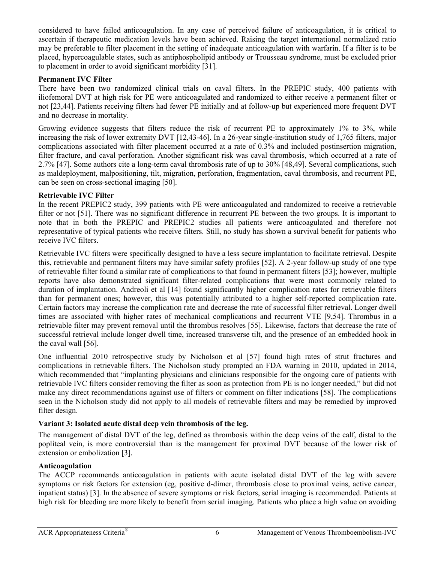considered to have failed anticoagulation. In any case of perceived failure of anticoagulation, it is critical to ascertain if therapeutic medication levels have been achieved. Raising the target international normalized ratio may be preferable to filter placement in the setting of inadequate anticoagulation with warfarin. If a filter is to be placed, hypercoagulable states, such as antiphospholipid antibody or Trousseau syndrome, must be excluded prior to placement in order to avoid significant morbidity [31].

## **Permanent IVC Filter**

There have been two randomized clinical trials on caval filters. In the PREPIC study, 400 patients with iliofemoral DVT at high risk for PE were anticoagulated and randomized to either receive a permanent filter or not [23,44]. Patients receiving filters had fewer PE initially and at follow-up but experienced more frequent DVT and no decrease in mortality.

Growing evidence suggests that filters reduce the risk of recurrent PE to approximately 1% to 3%, while increasing the risk of lower extremity DVT [12,43-46]. In a 26-year single-institution study of 1,765 filters, major complications associated with filter placement occurred at a rate of 0.3% and included postinsertion migration, filter fracture, and caval perforation. Another significant risk was caval thrombosis, which occurred at a rate of 2.7% [47]. Some authors cite a long-term caval thrombosis rate of up to 30% [48,49]. Several complications, such as maldeployment, malpositioning, tilt, migration, perforation, fragmentation, caval thrombosis, and recurrent PE, can be seen on cross-sectional imaging [50].

# **Retrievable IVC Filter**

In the recent PREPIC2 study, 399 patients with PE were anticoagulated and randomized to receive a retrievable filter or not [51]. There was no significant difference in recurrent PE between the two groups. It is important to note that in both the PREPIC and PREPIC2 studies all patients were anticoagulated and therefore not representative of typical patients who receive filters. Still, no study has shown a survival benefit for patients who receive IVC filters.

Retrievable IVC filters were specifically designed to have a less secure implantation to facilitate retrieval. Despite this, retrievable and permanent filters may have similar safety profiles [52]. A 2-year follow-up study of one type of retrievable filter found a similar rate of complications to that found in permanent filters [53]; however, multiple reports have also demonstrated significant filter-related complications that were most commonly related to duration of implantation. Andreoli et al [14] found significantly higher complication rates for retrievable filters than for permanent ones; however, this was potentially attributed to a higher self-reported complication rate. Certain factors may increase the complication rate and decrease the rate of successful filter retrieval. Longer dwell times are associated with higher rates of mechanical complications and recurrent VTE [9,54]. Thrombus in a retrievable filter may prevent removal until the thrombus resolves [55]. Likewise, factors that decrease the rate of successful retrieval include longer dwell time, increased transverse tilt, and the presence of an embedded hook in the caval wall [56].

One influential 2010 retrospective study by Nicholson et al [57] found high rates of strut fractures and complications in retrievable filters. The Nicholson study prompted an FDA warning in 2010, updated in 2014, which recommended that "implanting physicians and clinicians responsible for the ongoing care of patients with retrievable IVC filters consider removing the filter as soon as protection from PE is no longer needed," but did not make any direct recommendations against use of filters or comment on filter indications [58]. The complications seen in the Nicholson study did not apply to all models of retrievable filters and may be remedied by improved filter design.

# **Variant 3: Isolated acute distal deep vein thrombosis of the leg.**

The management of distal DVT of the leg, defined as thrombosis within the deep veins of the calf, distal to the popliteal vein, is more controversial than is the management for proximal DVT because of the lower risk of extension or embolization [3].

## **Anticoagulation**

The ACCP recommends anticoagulation in patients with acute isolated distal DVT of the leg with severe symptoms or risk factors for extension (eg, positive d-dimer, thrombosis close to proximal veins, active cancer, inpatient status) [3]. In the absence of severe symptoms or risk factors, serial imaging is recommended. Patients at high risk for bleeding are more likely to benefit from serial imaging. Patients who place a high value on avoiding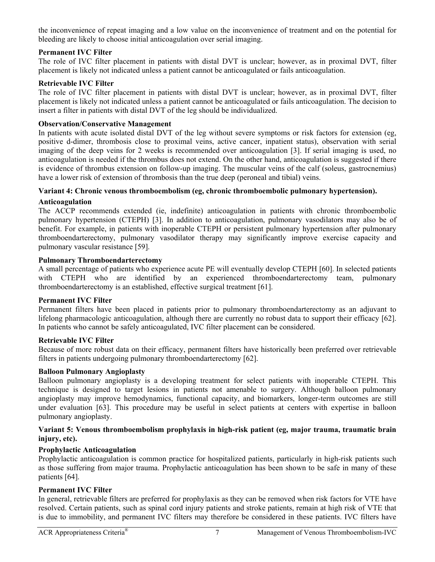the inconvenience of repeat imaging and a low value on the inconvenience of treatment and on the potential for bleeding are likely to choose initial anticoagulation over serial imaging.

# **Permanent IVC Filter**

The role of IVC filter placement in patients with distal DVT is unclear; however, as in proximal DVT, filter placement is likely not indicated unless a patient cannot be anticoagulated or fails anticoagulation.

## **Retrievable IVC Filter**

The role of IVC filter placement in patients with distal DVT is unclear; however, as in proximal DVT, filter placement is likely not indicated unless a patient cannot be anticoagulated or fails anticoagulation. The decision to insert a filter in patients with distal DVT of the leg should be individualized.

## **Observation/Conservative Management**

In patients with acute isolated distal DVT of the leg without severe symptoms or risk factors for extension (eg, positive d-dimer, thrombosis close to proximal veins, active cancer, inpatient status), observation with serial imaging of the deep veins for 2 weeks is recommended over anticoagulation [3]. If serial imaging is used, no anticoagulation is needed if the thrombus does not extend. On the other hand, anticoagulation is suggested if there is evidence of thrombus extension on follow-up imaging. The muscular veins of the calf (soleus, gastrocnemius) have a lower risk of extension of thrombosis than the true deep (peroneal and tibial) veins.

## **Variant 4: Chronic venous thromboembolism (eg, chronic thromboembolic pulmonary hypertension).**

## **Anticoagulation**

The ACCP recommends extended (ie, indefinite) anticoagulation in patients with chronic thromboembolic pulmonary hypertension (CTEPH) [3]. In addition to anticoagulation, pulmonary vasodilators may also be of benefit. For example, in patients with inoperable CTEPH or persistent pulmonary hypertension after pulmonary thromboendarterectomy, pulmonary vasodilator therapy may significantly improve exercise capacity and pulmonary vascular resistance [59].

## **Pulmonary Thromboendarterectomy**

A small percentage of patients who experience acute PE will eventually develop CTEPH [60]. In selected patients with CTEPH who are identified by an experienced thromboendarterectomy team, pulmonary thromboendarterectomy is an established, effective surgical treatment [61].

#### **Permanent IVC Filter**

Permanent filters have been placed in patients prior to pulmonary thromboendarterectomy as an adjuvant to lifelong pharmacologic anticoagulation, although there are currently no robust data to support their efficacy [62]. In patients who cannot be safely anticoagulated, IVC filter placement can be considered.

## **Retrievable IVC Filter**

Because of more robust data on their efficacy, permanent filters have historically been preferred over retrievable filters in patients undergoing pulmonary thromboendarterectomy [62].

## **Balloon Pulmonary Angioplasty**

Balloon pulmonary angioplasty is a developing treatment for select patients with inoperable CTEPH. This technique is designed to target lesions in patients not amenable to surgery. Although balloon pulmonary angioplasty may improve hemodynamics, functional capacity, and biomarkers, longer-term outcomes are still under evaluation [63]. This procedure may be useful in select patients at centers with expertise in balloon pulmonary angioplasty.

## **Variant 5: Venous thromboembolism prophylaxis in high-risk patient (eg, major trauma, traumatic brain injury, etc).**

# **Prophylactic Anticoagulation**

Prophylactic anticoagulation is common practice for hospitalized patients, particularly in high-risk patients such as those suffering from major trauma. Prophylactic anticoagulation has been shown to be safe in many of these patients [64].

## **Permanent IVC Filter**

In general, retrievable filters are preferred for prophylaxis as they can be removed when risk factors for VTE have resolved. Certain patients, such as spinal cord injury patients and stroke patients, remain at high risk of VTE that is due to immobility, and permanent IVC filters may therefore be considered in these patients. IVC filters have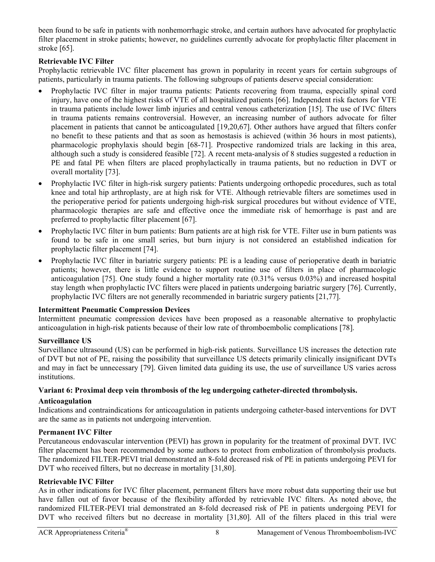been found to be safe in patients with nonhemorrhagic stroke, and certain authors have advocated for prophylactic filter placement in stroke patients; however, no guidelines currently advocate for prophylactic filter placement in stroke [65].

# **Retrievable IVC Filter**

Prophylactic retrievable IVC filter placement has grown in popularity in recent years for certain subgroups of patients, particularly in trauma patients. The following subgroups of patients deserve special consideration:

- Prophylactic IVC filter in major trauma patients: Patients recovering from trauma, especially spinal cord injury, have one of the highest risks of VTE of all hospitalized patients [66]. Independent risk factors for VTE in trauma patients include lower limb injuries and central venous catheterization [15]. The use of IVC filters in trauma patients remains controversial. However, an increasing number of authors advocate for filter placement in patients that cannot be anticoagulated [19,20,67]. Other authors have argued that filters confer no benefit to these patients and that as soon as hemostasis is achieved (within 36 hours in most patients), pharmacologic prophylaxis should begin [68-71]. Prospective randomized trials are lacking in this area, although such a study is considered feasible [72]. A recent meta-analysis of 8 studies suggested a reduction in PE and fatal PE when filters are placed prophylactically in trauma patients, but no reduction in DVT or overall mortality [73].
- Prophylactic IVC filter in high-risk surgery patients: Patients undergoing orthopedic procedures, such as total knee and total hip arthroplasty, are at high risk for VTE. Although retrievable filters are sometimes used in the perioperative period for patients undergoing high-risk surgical procedures but without evidence of VTE, pharmacologic therapies are safe and effective once the immediate risk of hemorrhage is past and are preferred to prophylactic filter placement [67].
- Prophylactic IVC filter in burn patients: Burn patients are at high risk for VTE. Filter use in burn patients was found to be safe in one small series, but burn injury is not considered an established indication for prophylactic filter placement [74].
- Prophylactic IVC filter in bariatric surgery patients: PE is a leading cause of perioperative death in bariatric patients; however, there is little evidence to support routine use of filters in place of pharmacologic anticoagulation [75]. One study found a higher mortality rate (0.31% versus 0.03%) and increased hospital stay length when prophylactic IVC filters were placed in patients undergoing bariatric surgery [76]. Currently, prophylactic IVC filters are not generally recommended in bariatric surgery patients [21,77].

## **Intermittent Pneumatic Compression Devices**

Intermittent pneumatic compression devices have been proposed as a reasonable alternative to prophylactic anticoagulation in high-risk patients because of their low rate of thromboembolic complications [78].

## **Surveillance US**

Surveillance ultrasound (US) can be performed in high-risk patients. Surveillance US increases the detection rate of DVT but not of PE, raising the possibility that surveillance US detects primarily clinically insignificant DVTs and may in fact be unnecessary [79]. Given limited data guiding its use, the use of surveillance US varies across institutions.

## **Variant 6: Proximal deep vein thrombosis of the leg undergoing catheter-directed thrombolysis.**

## **Anticoagulation**

Indications and contraindications for anticoagulation in patients undergoing catheter-based interventions for DVT are the same as in patients not undergoing intervention.

## **Permanent IVC Filter**

Percutaneous endovascular intervention (PEVI) has grown in popularity for the treatment of proximal DVT. IVC filter placement has been recommended by some authors to protect from embolization of thrombolysis products. The randomized FILTER-PEVI trial demonstrated an 8-fold decreased risk of PE in patients undergoing PEVI for DVT who received filters, but no decrease in mortality [31,80].

#### **Retrievable IVC Filter**

As in other indications for IVC filter placement, permanent filters have more robust data supporting their use but have fallen out of favor because of the flexibility afforded by retrievable IVC filters. As noted above, the randomized FILTER-PEVI trial demonstrated an 8-fold decreased risk of PE in patients undergoing PEVI for DVT who received filters but no decrease in mortality [31,80]. All of the filters placed in this trial were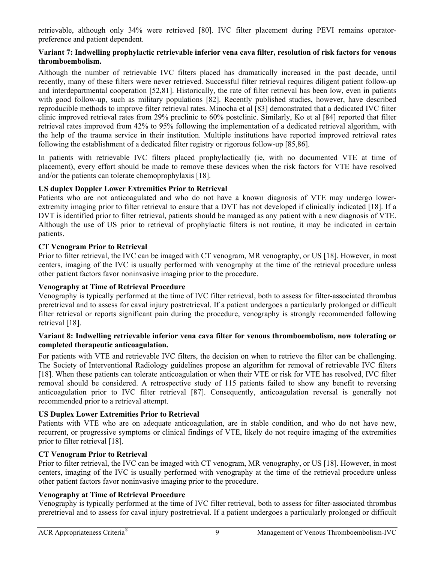retrievable, although only 34% were retrieved [80]. IVC filter placement during PEVI remains operatorpreference and patient dependent.

## **Variant 7: Indwelling prophylactic retrievable inferior vena cava filter, resolution of risk factors for venous thromboembolism.**

Although the number of retrievable IVC filters placed has dramatically increased in the past decade, until recently, many of these filters were never retrieved. Successful filter retrieval requires diligent patient follow-up and interdepartmental cooperation [52,81]. Historically, the rate of filter retrieval has been low, even in patients with good follow-up, such as military populations [82]. Recently published studies, however, have described reproducible methods to improve filter retrieval rates. Minocha et al [83] demonstrated that a dedicated IVC filter clinic improved retrieval rates from 29% preclinic to 60% postclinic. Similarly, Ko et al [84] reported that filter retrieval rates improved from 42% to 95% following the implementation of a dedicated retrieval algorithm, with the help of the trauma service in their institution. Multiple institutions have reported improved retrieval rates following the establishment of a dedicated filter registry or rigorous follow-up [85,86].

In patients with retrievable IVC filters placed prophylactically (ie, with no documented VTE at time of placement), every effort should be made to remove these devices when the risk factors for VTE have resolved and/or the patients can tolerate chemoprophylaxis [18].

# **US duplex Doppler Lower Extremities Prior to Retrieval**

Patients who are not anticoagulated and who do not have a known diagnosis of VTE may undergo lowerextremity imaging prior to filter retrieval to ensure that a DVT has not developed if clinically indicated [18]. If a DVT is identified prior to filter retrieval, patients should be managed as any patient with a new diagnosis of VTE. Although the use of US prior to retrieval of prophylactic filters is not routine, it may be indicated in certain patients.

# **CT Venogram Prior to Retrieval**

Prior to filter retrieval, the IVC can be imaged with CT venogram, MR venography, or US [18]. However, in most centers, imaging of the IVC is usually performed with venography at the time of the retrieval procedure unless other patient factors favor noninvasive imaging prior to the procedure.

## **Venography at Time of Retrieval Procedure**

Venography is typically performed at the time of IVC filter retrieval, both to assess for filter-associated thrombus preretrieval and to assess for caval injury postretrieval. If a patient undergoes a particularly prolonged or difficult filter retrieval or reports significant pain during the procedure, venography is strongly recommended following retrieval [18].

## **Variant 8: Indwelling retrievable inferior vena cava filter for venous thromboembolism, now tolerating or completed therapeutic anticoagulation.**

For patients with VTE and retrievable IVC filters, the decision on when to retrieve the filter can be challenging. The Society of Interventional Radiology guidelines propose an algorithm for removal of retrievable IVC filters [18]. When these patients can tolerate anticoagulation or when their VTE or risk for VTE has resolved, IVC filter removal should be considered. A retrospective study of 115 patients failed to show any benefit to reversing anticoagulation prior to IVC filter retrieval [87]. Consequently, anticoagulation reversal is generally not recommended prior to a retrieval attempt.

# **US Duplex Lower Extremities Prior to Retrieval**

Patients with VTE who are on adequate anticoagulation, are in stable condition, and who do not have new, recurrent, or progressive symptoms or clinical findings of VTE, likely do not require imaging of the extremities prior to filter retrieval [18].

# **CT Venogram Prior to Retrieval**

Prior to filter retrieval, the IVC can be imaged with CT venogram, MR venography, or US [18]. However, in most centers, imaging of the IVC is usually performed with venography at the time of the retrieval procedure unless other patient factors favor noninvasive imaging prior to the procedure.

# **Venography at Time of Retrieval Procedure**

Venography is typically performed at the time of IVC filter retrieval, both to assess for filter-associated thrombus preretrieval and to assess for caval injury postretrieval. If a patient undergoes a particularly prolonged or difficult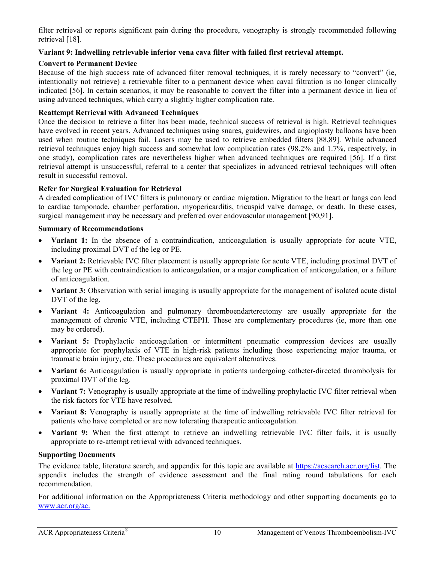filter retrieval or reports significant pain during the procedure, venography is strongly recommended following retrieval [18].

## **Variant 9: Indwelling retrievable inferior vena cava filter with failed first retrieval attempt.**

## **Convert to Permanent Device**

Because of the high success rate of advanced filter removal techniques, it is rarely necessary to "convert" (ie, intentionally not retrieve) a retrievable filter to a permanent device when caval filtration is no longer clinically indicated [56]. In certain scenarios, it may be reasonable to convert the filter into a permanent device in lieu of using advanced techniques, which carry a slightly higher complication rate.

# **Reattempt Retrieval with Advanced Techniques**

Once the decision to retrieve a filter has been made, technical success of retrieval is high. Retrieval techniques have evolved in recent years. Advanced techniques using snares, guidewires, and angioplasty balloons have been used when routine techniques fail. Lasers may be used to retrieve embedded filters [88,89]. While advanced retrieval techniques enjoy high success and somewhat low complication rates (98.2% and 1.7%, respectively, in one study), complication rates are nevertheless higher when advanced techniques are required [56]. If a first retrieval attempt is unsuccessful, referral to a center that specializes in advanced retrieval techniques will often result in successful removal.

# **Refer for Surgical Evaluation for Retrieval**

A dreaded complication of IVC filters is pulmonary or cardiac migration. Migration to the heart or lungs can lead to cardiac tamponade, chamber perforation, myopericarditis, tricuspid valve damage, or death. In these cases, surgical management may be necessary and preferred over endovascular management [90,91].

## **Summary of Recommendations**

- **Variant 1:** In the absence of a contraindication, anticoagulation is usually appropriate for acute VTE, including proximal DVT of the leg or PE.
- **Variant 2:** Retrievable IVC filter placement is usually appropriate for acute VTE, including proximal DVT of the leg or PE with contraindication to anticoagulation, or a major complication of anticoagulation, or a failure of anticoagulation.
- **Variant 3:** Observation with serial imaging is usually appropriate for the management of isolated acute distal DVT of the leg.
- **Variant 4:** Anticoagulation and pulmonary thromboendarterectomy are usually appropriate for the management of chronic VTE, including CTEPH. These are complementary procedures (ie, more than one may be ordered).
- **Variant 5:** Prophylactic anticoagulation or intermittent pneumatic compression devices are usually appropriate for prophylaxis of VTE in high-risk patients including those experiencing major trauma, or traumatic brain injury, etc. These procedures are equivalent alternatives.
- **Variant 6:** Anticoagulation is usually appropriate in patients undergoing catheter-directed thrombolysis for proximal DVT of the leg.
- **Variant 7:** Venography is usually appropriate at the time of indwelling prophylactic IVC filter retrieval when the risk factors for VTE have resolved.
- **Variant 8:** Venography is usually appropriate at the time of indwelling retrievable IVC filter retrieval for patients who have completed or are now tolerating therapeutic anticoagulation.
- **Variant 9:** When the first attempt to retrieve an indwelling retrievable IVC filter fails, it is usually appropriate to re-attempt retrieval with advanced techniques.

## **Supporting Documents**

The evidence table, literature search, and appendix for this topic are available at https://acsearch.acr.org/list. The appendix includes the strength of evidence assessment and the final rating round tabulations for each recommendation.

[For additional in](https://www.acr.org/Clinical-Resources/ACR-Appropriateness-Criteria)formation on the Appropriateness Criteria methodology and other supporting documents go to www.acr.org/ac.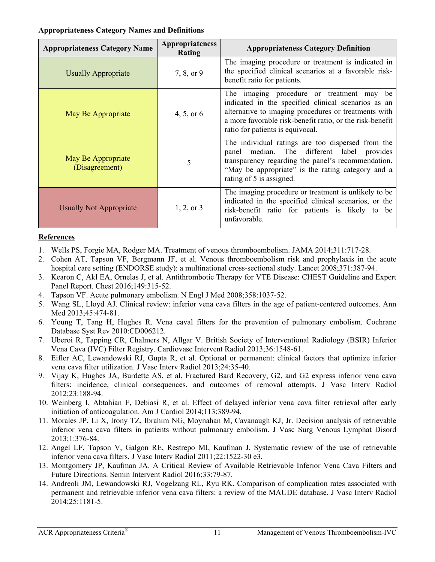## **Appropriateness Category Names and Definitions**

| <b>Appropriateness Category Name</b> | <b>Appropriateness</b><br>Rating | <b>Appropriateness Category Definition</b>                                                                                                                                                                                                                  |
|--------------------------------------|----------------------------------|-------------------------------------------------------------------------------------------------------------------------------------------------------------------------------------------------------------------------------------------------------------|
| <b>Usually Appropriate</b>           | 7, 8, or 9                       | The imaging procedure or treatment is indicated in<br>the specified clinical scenarios at a favorable risk-<br>benefit ratio for patients.                                                                                                                  |
| May Be Appropriate                   | 4, 5, or $6$                     | The imaging procedure or treatment may<br>be<br>indicated in the specified clinical scenarios as an<br>alternative to imaging procedures or treatments with<br>a more favorable risk-benefit ratio, or the risk-benefit<br>ratio for patients is equivocal. |
| May Be Appropriate<br>(Disagreement) | 5                                | The individual ratings are too dispersed from the<br>panel median. The different label provides<br>transparency regarding the panel's recommendation.<br>"May be appropriate" is the rating category and a<br>rating of 5 is assigned.                      |
| <b>Usually Not Appropriate</b>       | $1, 2,$ or 3                     | The imaging procedure or treatment is unlikely to be.<br>indicated in the specified clinical scenarios, or the<br>risk-benefit ratio for patients is likely to be<br>unfavorable.                                                                           |

# **References**

- 1. Wells PS, Forgie MA, Rodger MA. Treatment of venous thromboembolism. JAMA 2014;311:717-28.
- 2. Cohen AT, Tapson VF, Bergmann JF, et al. Venous thromboembolism risk and prophylaxis in the acute hospital care setting (ENDORSE study): a multinational cross-sectional study. Lancet 2008;371:387-94.
- 3. Kearon C, Akl EA, Ornelas J, et al. Antithrombotic Therapy for VTE Disease: CHEST Guideline and Expert Panel Report. Chest 2016;149:315-52.
- 4. Tapson VF. Acute pulmonary embolism. N Engl J Med 2008;358:1037-52.
- 5. Wang SL, Lloyd AJ. Clinical review: inferior vena cava filters in the age of patient-centered outcomes. Ann Med 2013;45:474-81.
- 6. Young T, Tang H, Hughes R. Vena caval filters for the prevention of pulmonary embolism. Cochrane Database Syst Rev 2010:CD006212.
- 7. Uberoi R, Tapping CR, Chalmers N, Allgar V. British Society of Interventional Radiology (BSIR) Inferior Vena Cava (IVC) Filter Registry. Cardiovasc Intervent Radiol 2013;36:1548-61.
- 8. Eifler AC, Lewandowski RJ, Gupta R, et al. Optional or permanent: clinical factors that optimize inferior vena cava filter utilization. J Vasc Interv Radiol 2013;24:35-40.
- 9. Vijay K, Hughes JA, Burdette AS, et al. Fractured Bard Recovery, G2, and G2 express inferior vena cava filters: incidence, clinical consequences, and outcomes of removal attempts. J Vasc Interv Radiol 2012;23:188-94.
- 10. Weinberg I, Abtahian F, Debiasi R, et al. Effect of delayed inferior vena cava filter retrieval after early initiation of anticoagulation. Am J Cardiol 2014;113:389-94.
- 11. Morales JP, Li X, Irony TZ, Ibrahim NG, Moynahan M, Cavanaugh KJ, Jr. Decision analysis of retrievable inferior vena cava filters in patients without pulmonary embolism. J Vasc Surg Venous Lymphat Disord 2013;1:376-84.
- 12. Angel LF, Tapson V, Galgon RE, Restrepo MI, Kaufman J. Systematic review of the use of retrievable inferior vena cava filters. J Vasc Interv Radiol 2011;22:1522-30 e3.
- 13. Montgomery JP, Kaufman JA. A Critical Review of Available Retrievable Inferior Vena Cava Filters and Future Directions. Semin Intervent Radiol 2016;33:79-87.
- 14. Andreoli JM, Lewandowski RJ, Vogelzang RL, Ryu RK. Comparison of complication rates associated with permanent and retrievable inferior vena cava filters: a review of the MAUDE database. J Vasc Interv Radiol 2014;25:1181-5.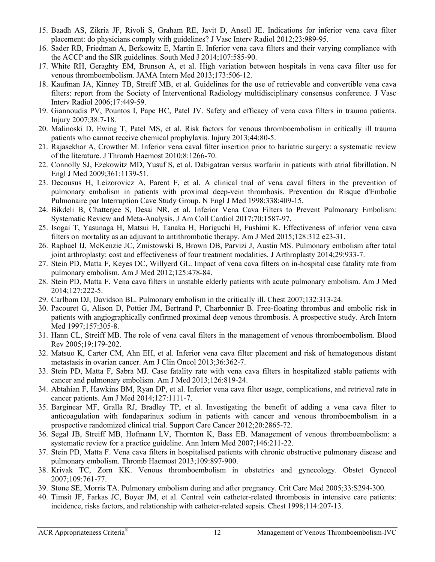- 15. Baadh AS, Zikria JF, Rivoli S, Graham RE, Javit D, Ansell JE. Indications for inferior vena cava filter placement: do physicians comply with guidelines? J Vasc Interv Radiol 2012;23:989-95.
- 16. Sader RB, Friedman A, Berkowitz E, Martin E. Inferior vena cava filters and their varying compliance with the ACCP and the SIR guidelines. South Med J 2014;107:585-90.
- 17. White RH, Geraghty EM, Brunson A, et al. High variation between hospitals in vena cava filter use for venous thromboembolism. JAMA Intern Med 2013;173:506-12.
- 18. Kaufman JA, Kinney TB, Streiff MB, et al. Guidelines for the use of retrievable and convertible vena cava filters: report from the Society of Interventional Radiology multidisciplinary consensus conference. J Vasc Interv Radiol 2006;17:449-59.
- 19. Giannoudis PV, Pountos I, Pape HC, Patel JV. Safety and efficacy of vena cava filters in trauma patients. Injury 2007;38:7-18.
- 20. Malinoski D, Ewing T, Patel MS, et al. Risk factors for venous thromboembolism in critically ill trauma patients who cannot receive chemical prophylaxis. Injury 2013;44:80-5.
- 21. Rajasekhar A, Crowther M. Inferior vena caval filter insertion prior to bariatric surgery: a systematic review of the literature. J Thromb Haemost 2010;8:1266-70.
- 22. Connolly SJ, Ezekowitz MD, Yusuf S, et al. Dabigatran versus warfarin in patients with atrial fibrillation. N Engl J Med 2009;361:1139-51.
- 23. Decousus H, Leizorovicz A, Parent F, et al. A clinical trial of vena caval filters in the prevention of pulmonary embolism in patients with proximal deep-vein thrombosis. Prevention du Risque d'Embolie Pulmonaire par Interruption Cave Study Group. N Engl J Med 1998;338:409-15.
- 24. Bikdeli B, Chatterjee S, Desai NR, et al. Inferior Vena Cava Filters to Prevent Pulmonary Embolism: Systematic Review and Meta-Analysis. J Am Coll Cardiol 2017;70:1587-97.
- 25. Isogai T, Yasunaga H, Matsui H, Tanaka H, Horiguchi H, Fushimi K. Effectiveness of inferior vena cava filters on mortality as an adjuvant to antithrombotic therapy. Am J Med 2015;128:312 e23-31.
- 26. Raphael IJ, McKenzie JC, Zmistowski B, Brown DB, Parvizi J, Austin MS. Pulmonary embolism after total joint arthroplasty: cost and effectiveness of four treatment modalities. J Arthroplasty 2014;29:933-7.
- 27. Stein PD, Matta F, Keyes DC, Willyerd GL. Impact of vena cava filters on in-hospital case fatality rate from pulmonary embolism. Am J Med 2012;125:478-84.
- 28. Stein PD, Matta F. Vena cava filters in unstable elderly patients with acute pulmonary embolism. Am J Med 2014;127:222-5.
- 29. Carlbom DJ, Davidson BL. Pulmonary embolism in the critically ill. Chest 2007;132:313-24.
- 30. Pacouret G, Alison D, Pottier JM, Bertrand P, Charbonnier B. Free-floating thrombus and embolic risk in patients with angiographically confirmed proximal deep venous thrombosis. A prospective study. Arch Intern Med 1997;157:305-8.
- 31. Hann CL, Streiff MB. The role of vena caval filters in the management of venous thromboembolism. Blood Rev 2005;19:179-202.
- 32. Matsuo K, Carter CM, Ahn EH, et al. Inferior vena cava filter placement and risk of hematogenous distant metastasis in ovarian cancer. Am J Clin Oncol 2013;36:362-7.
- 33. Stein PD, Matta F, Sabra MJ. Case fatality rate with vena cava filters in hospitalized stable patients with cancer and pulmonary embolism. Am J Med 2013;126:819-24.
- 34. Abtahian F, Hawkins BM, Ryan DP, et al. Inferior vena cava filter usage, complications, and retrieval rate in cancer patients. Am J Med 2014;127:1111-7.
- 35. Barginear MF, Gralla RJ, Bradley TP, et al. Investigating the benefit of adding a vena cava filter to anticoagulation with fondaparinux sodium in patients with cancer and venous thromboembolism in a prospective randomized clinical trial. Support Care Cancer 2012;20:2865-72.
- 36. Segal JB, Streiff MB, Hofmann LV, Thornton K, Bass EB. Management of venous thromboembolism: a systematic review for a practice guideline. Ann Intern Med 2007;146:211-22.
- 37. Stein PD, Matta F. Vena cava filters in hospitalised patients with chronic obstructive pulmonary disease and pulmonary embolism. Thromb Haemost 2013;109:897-900.
- 38. Krivak TC, Zorn KK. Venous thromboembolism in obstetrics and gynecology. Obstet Gynecol 2007;109:761-77.
- 39. Stone SE, Morris TA. Pulmonary embolism during and after pregnancy. Crit Care Med 2005;33:S294-300.
- 40. Timsit JF, Farkas JC, Boyer JM, et al. Central vein catheter-related thrombosis in intensive care patients: incidence, risks factors, and relationship with catheter-related sepsis. Chest 1998;114:207-13.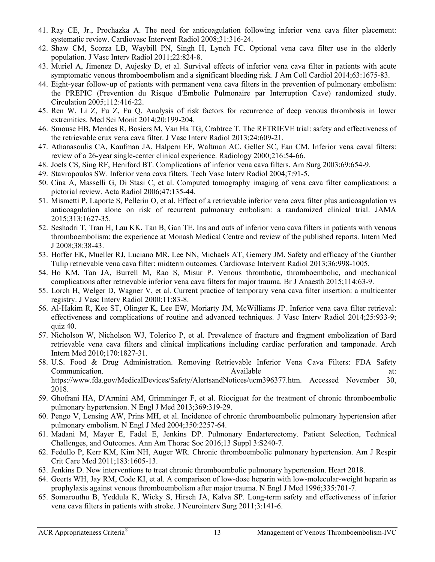- 41. Ray CE, Jr., Prochazka A. The need for anticoagulation following inferior vena cava filter placement: systematic review. Cardiovasc Intervent Radiol 2008;31:316-24.
- 42. Shaw CM, Scorza LB, Waybill PN, Singh H, Lynch FC. Optional vena cava filter use in the elderly population. J Vasc Interv Radiol 2011;22:824-8.
- 43. Muriel A, Jimenez D, Aujesky D, et al. Survival effects of inferior vena cava filter in patients with acute symptomatic venous thromboembolism and a significant bleeding risk. J Am Coll Cardiol 2014;63:1675-83.
- 44. Eight-year follow-up of patients with permanent vena cava filters in the prevention of pulmonary embolism: the PREPIC (Prevention du Risque d'Embolie Pulmonaire par Interruption Cave) randomized study. Circulation 2005;112:416-22.
- 45. Ren W, Li Z, Fu Z, Fu Q. Analysis of risk factors for recurrence of deep venous thrombosis in lower extremities. Med Sci Monit 2014;20:199-204.
- 46. Smouse HB, Mendes R, Bosiers M, Van Ha TG, Crabtree T. The RETRIEVE trial: safety and effectiveness of the retrievable crux vena cava filter. J Vasc Interv Radiol 2013;24:609-21.
- 47. Athanasoulis CA, Kaufman JA, Halpern EF, Waltman AC, Geller SC, Fan CM. Inferior vena caval filters: review of a 26-year single-center clinical experience. Radiology 2000;216:54-66.
- 48. Joels CS, Sing RF, Heniford BT. Complications of inferior vena cava filters. Am Surg 2003;69:654-9.
- 49. Stavropoulos SW. Inferior vena cava filters. Tech Vasc Interv Radiol 2004;7:91-5.
- 50. Cina A, Masselli G, Di Stasi C, et al. Computed tomography imaging of vena cava filter complications: a pictorial review. Acta Radiol 2006;47:135-44.
- 51. Mismetti P, Laporte S, Pellerin O, et al. Effect of a retrievable inferior vena cava filter plus anticoagulation vs anticoagulation alone on risk of recurrent pulmonary embolism: a randomized clinical trial. JAMA 2015;313:1627-35.
- 52. Seshadri T, Tran H, Lau KK, Tan B, Gan TE. Ins and outs of inferior vena cava filters in patients with venous thromboembolism: the experience at Monash Medical Centre and review of the published reports. Intern Med J 2008;38:38-43.
- 53. Hoffer EK, Mueller RJ, Luciano MR, Lee NN, Michaels AT, Gemery JM. Safety and efficacy of the Gunther Tulip retrievable vena cava filter: midterm outcomes. Cardiovasc Intervent Radiol 2013;36:998-1005.
- 54. Ho KM, Tan JA, Burrell M, Rao S, Misur P. Venous thrombotic, thromboembolic, and mechanical complications after retrievable inferior vena cava filters for major trauma. Br J Anaesth 2015;114:63-9.
- 55. Lorch H, Welger D, Wagner V, et al. Current practice of temporary vena cava filter insertion: a multicenter registry. J Vasc Interv Radiol 2000;11:83-8.
- 56. Al-Hakim R, Kee ST, Olinger K, Lee EW, Moriarty JM, McWilliams JP. Inferior vena cava filter retrieval: effectiveness and complications of routine and advanced techniques. J Vasc Interv Radiol 2014;25:933-9; quiz  $40$ .
- 57. Nicholson W, Nicholson WJ, Tolerico P, et al. Prevalence of fracture and fragment embolization of Bard retrievable vena cava filters and clinical implications including cardiac perforation and tamponade. Arch Intern Med 2010;170:1827-31.
- 58. U.S. Food & Drug Administration. Removing Retrievable Inferior Vena Cava Filters: FDA Safety Communication. Available at: https://www.fda.gov/MedicalDevices/Safety/AlertsandNotices/ucm396377.htm. Accessed November 30, 2018.
- 59. Ghofrani HA, D'Armini AM, Grimminger F, et al. Riociguat for the treatment of chronic thromboembolic pulmonary hypertension. N Engl J Med 2013;369:319-29.
- 60. Pengo V, Lensing AW, Prins MH, et al. Incidence of chronic thromboembolic pulmonary hypertension after pulmonary embolism. N Engl J Med 2004;350:2257-64.
- 61. Madani M, Mayer E, Fadel E, Jenkins DP. Pulmonary Endarterectomy. Patient Selection, Technical Challenges, and Outcomes. Ann Am Thorac Soc 2016;13 Suppl 3:S240-7.
- 62. Fedullo P, Kerr KM, Kim NH, Auger WR. Chronic thromboembolic pulmonary hypertension. Am J Respir Crit Care Med 2011;183:1605-13.
- 63. Jenkins D. New interventions to treat chronic thromboembolic pulmonary hypertension. Heart 2018.
- 64. Geerts WH, Jay RM, Code KI, et al. A comparison of low-dose heparin with low-molecular-weight heparin as prophylaxis against venous thromboembolism after major trauma. N Engl J Med 1996;335:701-7.
- 65. Somarouthu B, Yeddula K, Wicky S, Hirsch JA, Kalva SP. Long-term safety and effectiveness of inferior vena cava filters in patients with stroke. J Neurointerv Surg 2011;3:141-6.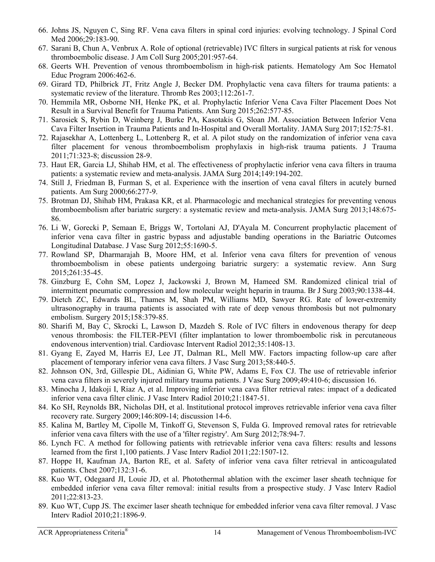- 66. Johns JS, Nguyen C, Sing RF. Vena cava filters in spinal cord injuries: evolving technology. J Spinal Cord Med 2006;29:183-90.
- 67. Sarani B, Chun A, Venbrux A. Role of optional (retrievable) IVC filters in surgical patients at risk for venous thromboembolic disease. J Am Coll Surg 2005;201:957-64.
- 68. Geerts WH. Prevention of venous thromboembolism in high-risk patients. Hematology Am Soc Hematol Educ Program 2006:462-6.
- 69. Girard TD, Philbrick JT, Fritz Angle J, Becker DM. Prophylactic vena cava filters for trauma patients: a systematic review of the literature. Thromb Res 2003;112:261-7.
- 70. Hemmila MR, Osborne NH, Henke PK, et al. Prophylactic Inferior Vena Cava Filter Placement Does Not Result in a Survival Benefit for Trauma Patients. Ann Surg 2015;262:577-85.
- 71. Sarosiek S, Rybin D, Weinberg J, Burke PA, Kasotakis G, Sloan JM. Association Between Inferior Vena Cava Filter Insertion in Trauma Patients and In-Hospital and Overall Mortality. JAMA Surg 2017;152:75-81.
- 72. Rajasekhar A, Lottenberg L, Lottenberg R, et al. A pilot study on the randomization of inferior vena cava filter placement for venous thromboembolism prophylaxis in high-risk trauma patients. J Trauma 2011;71:323-8; discussion 28-9.
- 73. Haut ER, Garcia LJ, Shihab HM, et al. The effectiveness of prophylactic inferior vena cava filters in trauma patients: a systematic review and meta-analysis. JAMA Surg 2014;149:194-202.
- 74. Still J, Friedman B, Furman S, et al. Experience with the insertion of vena caval filters in acutely burned patients. Am Surg 2000;66:277-9.
- 75. Brotman DJ, Shihab HM, Prakasa KR, et al. Pharmacologic and mechanical strategies for preventing venous thromboembolism after bariatric surgery: a systematic review and meta-analysis. JAMA Surg 2013;148:675- 86.
- 76. Li W, Gorecki P, Semaan E, Briggs W, Tortolani AJ, D'Ayala M. Concurrent prophylactic placement of inferior vena cava filter in gastric bypass and adjustable banding operations in the Bariatric Outcomes Longitudinal Database. J Vasc Surg 2012;55:1690-5.
- 77. Rowland SP, Dharmarajah B, Moore HM, et al. Inferior vena cava filters for prevention of venous thromboembolism in obese patients undergoing bariatric surgery: a systematic review. Ann Surg 2015;261:35-45.
- 78. Ginzburg E, Cohn SM, Lopez J, Jackowski J, Brown M, Hameed SM. Randomized clinical trial of intermittent pneumatic compression and low molecular weight heparin in trauma. Br J Surg 2003;90:1338-44.
- 79. Dietch ZC, Edwards BL, Thames M, Shah PM, Williams MD, Sawyer RG. Rate of lower-extremity ultrasonography in trauma patients is associated with rate of deep venous thrombosis but not pulmonary embolism. Surgery 2015;158:379-85.
- 80. Sharifi M, Bay C, Skrocki L, Lawson D, Mazdeh S. Role of IVC filters in endovenous therapy for deep venous thrombosis: the FILTER-PEVI (filter implantation to lower thromboembolic risk in percutaneous endovenous intervention) trial. Cardiovasc Intervent Radiol 2012;35:1408-13.
- 81. Gyang E, Zayed M, Harris EJ, Lee JT, Dalman RL, Mell MW. Factors impacting follow-up care after placement of temporary inferior vena cava filters. J Vasc Surg 2013;58:440-5.
- 82. Johnson ON, 3rd, Gillespie DL, Aidinian G, White PW, Adams E, Fox CJ. The use of retrievable inferior vena cava filters in severely injured military trauma patients. J Vasc Surg 2009;49:410-6; discussion 16.
- 83. Minocha J, Idakoji I, Riaz A, et al. Improving inferior vena cava filter retrieval rates: impact of a dedicated inferior vena cava filter clinic. J Vasc Interv Radiol 2010;21:1847-51.
- 84. Ko SH, Reynolds BR, Nicholas DH, et al. Institutional protocol improves retrievable inferior vena cava filter recovery rate. Surgery 2009;146:809-14; discussion 14-6.
- 85. Kalina M, Bartley M, Cipolle M, Tinkoff G, Stevenson S, Fulda G. Improved removal rates for retrievable inferior vena cava filters with the use of a 'filter registry'. Am Surg 2012;78:94-7.
- 86. Lynch FC. A method for following patients with retrievable inferior vena cava filters: results and lessons learned from the first 1,100 patients. J Vasc Interv Radiol 2011;22:1507-12.
- 87. Hoppe H, Kaufman JA, Barton RE, et al. Safety of inferior vena cava filter retrieval in anticoagulated patients. Chest 2007;132:31-6.
- 88. Kuo WT, Odegaard JI, Louie JD, et al. Photothermal ablation with the excimer laser sheath technique for embedded inferior vena cava filter removal: initial results from a prospective study. J Vasc Interv Radiol 2011;22:813-23.
- 89. Kuo WT, Cupp JS. The excimer laser sheath technique for embedded inferior vena cava filter removal. J Vasc Interv Radiol 2010;21:1896-9.